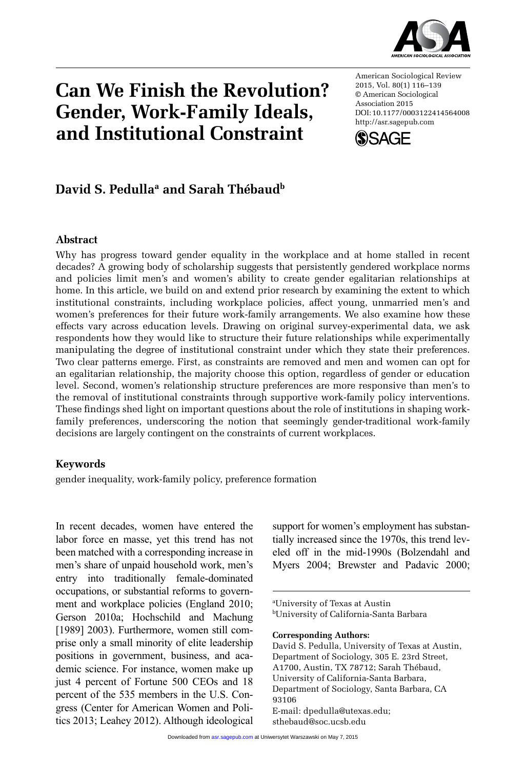

# **Can We Finish the Revolution? Gender, Work-Family Ideals, and Institutional Constraint**

American Sociological Review 2015, Vol. 80(1) 116–139 © American Sociological Association 2015 DOI: 10.1177/0003122414564008 http://asr.sagepub.com



# David S. Pedulla<sup>a</sup> and Sarah Thébaud<sup>b</sup>

#### **Abstract**

Why has progress toward gender equality in the workplace and at home stalled in recent decades? A growing body of scholarship suggests that persistently gendered workplace norms and policies limit men's and women's ability to create gender egalitarian relationships at home. In this article, we build on and extend prior research by examining the extent to which institutional constraints, including workplace policies, affect young, unmarried men's and women's preferences for their future work-family arrangements. We also examine how these effects vary across education levels. Drawing on original survey-experimental data, we ask respondents how they would like to structure their future relationships while experimentally manipulating the degree of institutional constraint under which they state their preferences. Two clear patterns emerge. First, as constraints are removed and men and women can opt for an egalitarian relationship, the majority choose this option, regardless of gender or education level. Second, women's relationship structure preferences are more responsive than men's to the removal of institutional constraints through supportive work-family policy interventions. These findings shed light on important questions about the role of institutions in shaping workfamily preferences, underscoring the notion that seemingly gender-traditional work-family decisions are largely contingent on the constraints of current workplaces.

## **Keywords**

gender inequality, work-family policy, preference formation

In recent decades, women have entered the labor force en masse, yet this trend has not been matched with a corresponding increase in men's share of unpaid household work, men's entry into traditionally female-dominated occupations, or substantial reforms to government and workplace policies (England 2010; Gerson 2010a; Hochschild and Machung [1989] 2003). Furthermore, women still comprise only a small minority of elite leadership positions in government, business, and academic science. For instance, women make up just 4 percent of Fortune 500 CEOs and 18 percent of the 535 members in the U.S. Congress (Center for American Women and Politics 2013; Leahey 2012). Although ideological

support for women's employment has substantially increased since the 1970s, this trend leveled off in the mid-1990s (Bolzendahl and Myers 2004; Brewster and Padavic 2000;

a University of Texas at Austin bUniversity of California-Santa Barbara

**Corresponding Authors:**

David S. Pedulla, University of Texas at Austin, Department of Sociology, 305 E. 23rd Street, A1700, Austin, TX 78712; Sarah Thébaud, University of California-Santa Barbara, Department of Sociology, Santa Barbara, CA 93106 E-mail: dpedulla@utexas.edu; sthebaud@soc.ucsb.edu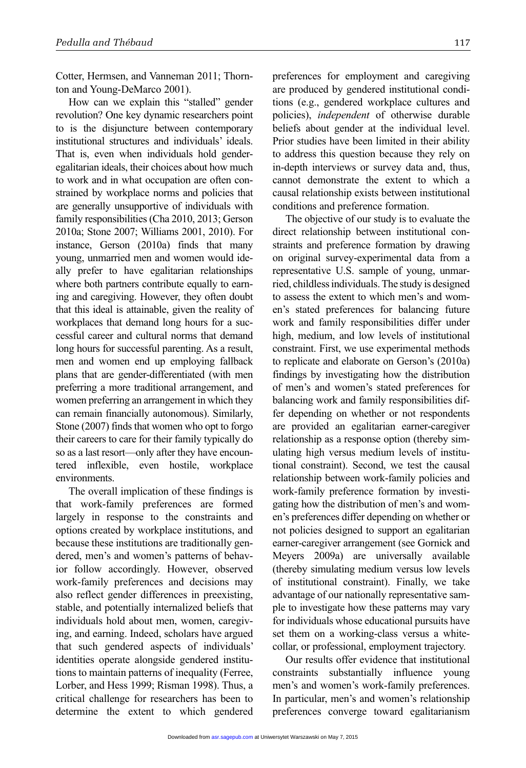Cotter, Hermsen, and Vanneman 2011; Thornton and Young-DeMarco 2001).

How can we explain this "stalled" gender revolution? One key dynamic researchers point to is the disjuncture between contemporary institutional structures and individuals' ideals. That is, even when individuals hold genderegalitarian ideals, their choices about how much to work and in what occupation are often constrained by workplace norms and policies that are generally unsupportive of individuals with family responsibilities (Cha 2010, 2013; Gerson 2010a; Stone 2007; Williams 2001, 2010). For instance, Gerson (2010a) finds that many young, unmarried men and women would ideally prefer to have egalitarian relationships where both partners contribute equally to earning and caregiving. However, they often doubt that this ideal is attainable, given the reality of workplaces that demand long hours for a successful career and cultural norms that demand long hours for successful parenting. As a result, men and women end up employing fallback plans that are gender-differentiated (with men preferring a more traditional arrangement, and women preferring an arrangement in which they can remain financially autonomous). Similarly, Stone (2007) finds that women who opt to forgo their careers to care for their family typically do so as a last resort—only after they have encountered inflexible, even hostile, workplace environments.

The overall implication of these findings is that work-family preferences are formed largely in response to the constraints and options created by workplace institutions, and because these institutions are traditionally gendered, men's and women's patterns of behavior follow accordingly. However, observed work-family preferences and decisions may also reflect gender differences in preexisting, stable, and potentially internalized beliefs that individuals hold about men, women, caregiving, and earning. Indeed, scholars have argued that such gendered aspects of individuals' identities operate alongside gendered institutions to maintain patterns of inequality (Ferree, Lorber, and Hess 1999; Risman 1998). Thus, a critical challenge for researchers has been to determine the extent to which gendered preferences for employment and caregiving are produced by gendered institutional conditions (e.g., gendered workplace cultures and policies), *independent* of otherwise durable beliefs about gender at the individual level. Prior studies have been limited in their ability to address this question because they rely on in-depth interviews or survey data and, thus, cannot demonstrate the extent to which a causal relationship exists between institutional conditions and preference formation.

The objective of our study is to evaluate the direct relationship between institutional constraints and preference formation by drawing on original survey-experimental data from a representative U.S. sample of young, unmarried, childless individuals. The study is designed to assess the extent to which men's and women's stated preferences for balancing future work and family responsibilities differ under high, medium, and low levels of institutional constraint. First, we use experimental methods to replicate and elaborate on Gerson's (2010a) findings by investigating how the distribution of men's and women's stated preferences for balancing work and family responsibilities differ depending on whether or not respondents are provided an egalitarian earner-caregiver relationship as a response option (thereby simulating high versus medium levels of institutional constraint). Second, we test the causal relationship between work-family policies and work-family preference formation by investigating how the distribution of men's and women's preferences differ depending on whether or not policies designed to support an egalitarian earner-caregiver arrangement (see Gornick and Meyers 2009a) are universally available (thereby simulating medium versus low levels of institutional constraint). Finally, we take advantage of our nationally representative sample to investigate how these patterns may vary for individuals whose educational pursuits have set them on a working-class versus a whitecollar, or professional, employment trajectory.

Our results offer evidence that institutional constraints substantially influence young men's and women's work-family preferences. In particular, men's and women's relationship preferences converge toward egalitarianism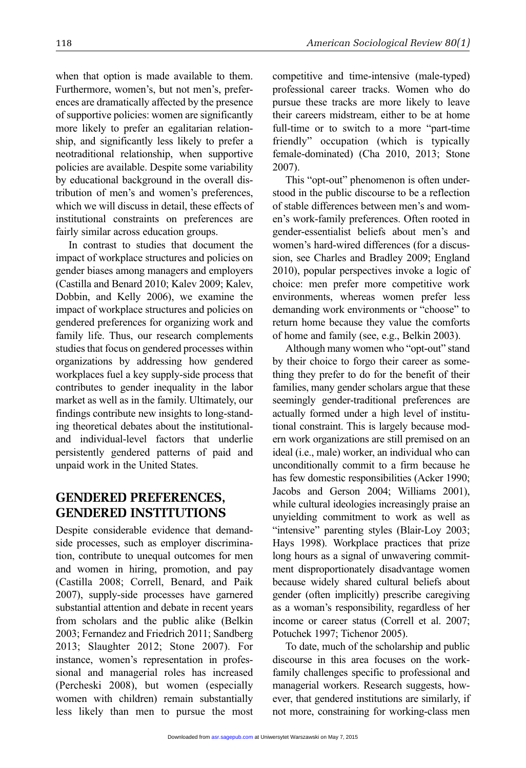when that option is made available to them. Furthermore, women's, but not men's, preferences are dramatically affected by the presence of supportive policies: women are significantly more likely to prefer an egalitarian relationship, and significantly less likely to prefer a neotraditional relationship, when supportive policies are available. Despite some variability by educational background in the overall distribution of men's and women's preferences, which we will discuss in detail, these effects of institutional constraints on preferences are fairly similar across education groups.

In contrast to studies that document the impact of workplace structures and policies on gender biases among managers and employers (Castilla and Benard 2010; Kalev 2009; Kalev, Dobbin, and Kelly 2006), we examine the impact of workplace structures and policies on gendered preferences for organizing work and family life. Thus, our research complements studies that focus on gendered processes within organizations by addressing how gendered workplaces fuel a key supply-side process that contributes to gender inequality in the labor market as well as in the family. Ultimately, our findings contribute new insights to long-standing theoretical debates about the institutionaland individual-level factors that underlie persistently gendered patterns of paid and unpaid work in the United States.

# **Gendered Preferences, Gendered Institutions**

Despite considerable evidence that demandside processes, such as employer discrimination, contribute to unequal outcomes for men and women in hiring, promotion, and pay (Castilla 2008; Correll, Benard, and Paik 2007), supply-side processes have garnered substantial attention and debate in recent years from scholars and the public alike (Belkin 2003; Fernandez and Friedrich 2011; Sandberg 2013; Slaughter 2012; Stone 2007). For instance, women's representation in professional and managerial roles has increased (Percheski 2008), but women (especially women with children) remain substantially less likely than men to pursue the most competitive and time-intensive (male-typed) professional career tracks. Women who do pursue these tracks are more likely to leave their careers midstream, either to be at home full-time or to switch to a more "part-time friendly" occupation (which is typically female-dominated) (Cha 2010, 2013; Stone 2007).

This "opt-out" phenomenon is often understood in the public discourse to be a reflection of stable differences between men's and women's work-family preferences. Often rooted in gender-essentialist beliefs about men's and women's hard-wired differences (for a discussion, see Charles and Bradley 2009; England 2010), popular perspectives invoke a logic of choice: men prefer more competitive work environments, whereas women prefer less demanding work environments or "choose" to return home because they value the comforts of home and family (see, e.g., Belkin 2003).

Although many women who "opt-out" stand by their choice to forgo their career as something they prefer to do for the benefit of their families, many gender scholars argue that these seemingly gender-traditional preferences are actually formed under a high level of institutional constraint. This is largely because modern work organizations are still premised on an ideal (i.e., male) worker, an individual who can unconditionally commit to a firm because he has few domestic responsibilities (Acker 1990; Jacobs and Gerson 2004; Williams 2001), while cultural ideologies increasingly praise an unyielding commitment to work as well as "intensive" parenting styles (Blair-Loy 2003; Hays 1998). Workplace practices that prize long hours as a signal of unwavering commitment disproportionately disadvantage women because widely shared cultural beliefs about gender (often implicitly) prescribe caregiving as a woman's responsibility, regardless of her income or career status (Correll et al. 2007; Potuchek 1997; Tichenor 2005).

To date, much of the scholarship and public discourse in this area focuses on the workfamily challenges specific to professional and managerial workers. Research suggests, however, that gendered institutions are similarly, if not more, constraining for working-class men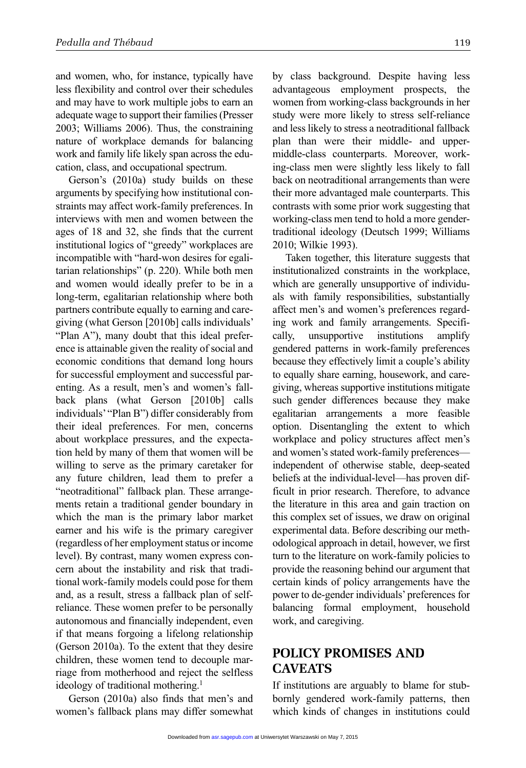and women, who, for instance, typically have less flexibility and control over their schedules and may have to work multiple jobs to earn an adequate wage to support their families (Presser 2003; Williams 2006). Thus, the constraining nature of workplace demands for balancing work and family life likely span across the education, class, and occupational spectrum.

Gerson's (2010a) study builds on these arguments by specifying how institutional constraints may affect work-family preferences. In interviews with men and women between the ages of 18 and 32, she finds that the current institutional logics of "greedy" workplaces are incompatible with "hard-won desires for egalitarian relationships" (p. 220). While both men and women would ideally prefer to be in a long-term, egalitarian relationship where both partners contribute equally to earning and caregiving (what Gerson [2010b] calls individuals' "Plan A"), many doubt that this ideal preference is attainable given the reality of social and economic conditions that demand long hours for successful employment and successful parenting. As a result, men's and women's fallback plans (what Gerson [2010b] calls individuals' "Plan B") differ considerably from their ideal preferences. For men, concerns about workplace pressures, and the expectation held by many of them that women will be willing to serve as the primary caretaker for any future children, lead them to prefer a "neotraditional" fallback plan. These arrangements retain a traditional gender boundary in which the man is the primary labor market earner and his wife is the primary caregiver (regardless of her employment status or income level). By contrast, many women express concern about the instability and risk that traditional work-family models could pose for them and, as a result, stress a fallback plan of selfreliance. These women prefer to be personally autonomous and financially independent, even if that means forgoing a lifelong relationship (Gerson 2010a). To the extent that they desire children, these women tend to decouple marriage from motherhood and reject the selfless ideology of traditional mothering.<sup>1</sup>

Gerson (2010a) also finds that men's and women's fallback plans may differ somewhat by class background. Despite having less advantageous employment prospects, the women from working-class backgrounds in her study were more likely to stress self-reliance and less likely to stress a neotraditional fallback plan than were their middle- and uppermiddle-class counterparts. Moreover, working-class men were slightly less likely to fall back on neotraditional arrangements than were their more advantaged male counterparts. This contrasts with some prior work suggesting that working-class men tend to hold a more gendertraditional ideology (Deutsch 1999; Williams 2010; Wilkie 1993).

Taken together, this literature suggests that institutionalized constraints in the workplace, which are generally unsupportive of individuals with family responsibilities, substantially affect men's and women's preferences regarding work and family arrangements. Specifically, unsupportive institutions amplify gendered patterns in work-family preferences because they effectively limit a couple's ability to equally share earning, housework, and caregiving, whereas supportive institutions mitigate such gender differences because they make egalitarian arrangements a more feasible option. Disentangling the extent to which workplace and policy structures affect men's and women's stated work-family preferences independent of otherwise stable, deep-seated beliefs at the individual-level—has proven difficult in prior research. Therefore, to advance the literature in this area and gain traction on this complex set of issues, we draw on original experimental data. Before describing our methodological approach in detail, however, we first turn to the literature on work-family policies to provide the reasoning behind our argument that certain kinds of policy arrangements have the power to de-gender individuals' preferences for balancing formal employment, household work, and caregiving.

# **Policy Promises and Caveats**

If institutions are arguably to blame for stubbornly gendered work-family patterns, then which kinds of changes in institutions could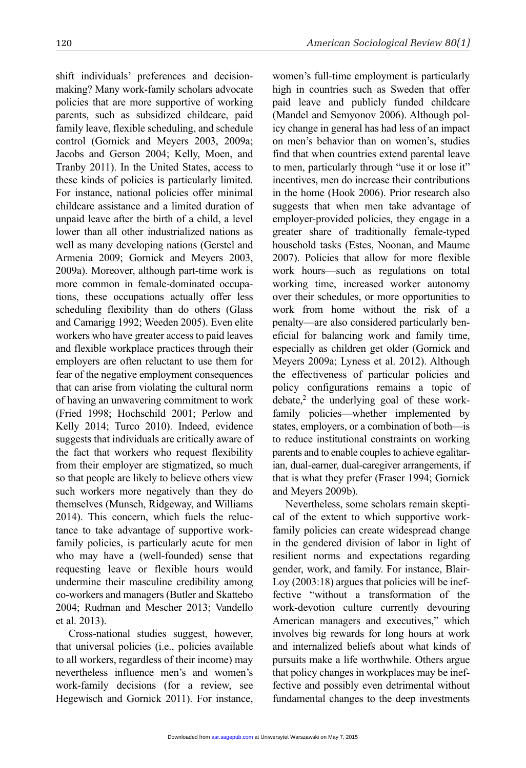shift individuals' preferences and decisionmaking? Many work-family scholars advocate policies that are more supportive of working parents, such as subsidized childcare, paid family leave, flexible scheduling, and schedule control (Gornick and Meyers 2003, 2009a; Jacobs and Gerson 2004; Kelly, Moen, and Tranby 2011). In the United States, access to these kinds of policies is particularly limited. For instance, national policies offer minimal childcare assistance and a limited duration of unpaid leave after the birth of a child, a level lower than all other industrialized nations as well as many developing nations (Gerstel and Armenia 2009; Gornick and Meyers 2003, 2009a). Moreover, although part-time work is more common in female-dominated occupations, these occupations actually offer less scheduling flexibility than do others (Glass and Camarigg 1992; Weeden 2005). Even elite workers who have greater access to paid leaves and flexible workplace practices through their employers are often reluctant to use them for fear of the negative employment consequences that can arise from violating the cultural norm of having an unwavering commitment to work (Fried 1998; Hochschild 2001; Perlow and Kelly 2014; Turco 2010). Indeed, evidence suggests that individuals are critically aware of the fact that workers who request flexibility from their employer are stigmatized, so much so that people are likely to believe others view such workers more negatively than they do themselves (Munsch, Ridgeway, and Williams 2014). This concern, which fuels the reluctance to take advantage of supportive workfamily policies, is particularly acute for men who may have a (well-founded) sense that requesting leave or flexible hours would undermine their masculine credibility among co-workers and managers (Butler and Skattebo 2004; Rudman and Mescher 2013; Vandello et al. 2013).

Cross-national studies suggest, however, that universal policies (i.e., policies available to all workers, regardless of their income) may nevertheless influence men's and women's work-family decisions (for a review, see Hegewisch and Gornick 2011). For instance, women's full-time employment is particularly high in countries such as Sweden that offer paid leave and publicly funded childcare (Mandel and Semyonov 2006). Although policy change in general has had less of an impact on men's behavior than on women's, studies find that when countries extend parental leave to men, particularly through "use it or lose it" incentives, men do increase their contributions in the home (Hook 2006). Prior research also suggests that when men take advantage of employer-provided policies, they engage in a greater share of traditionally female-typed household tasks (Estes, Noonan, and Maume 2007). Policies that allow for more flexible work hours—such as regulations on total working time, increased worker autonomy over their schedules, or more opportunities to work from home without the risk of a penalty—are also considered particularly beneficial for balancing work and family time, especially as children get older (Gornick and Meyers 2009a; Lyness et al. 2012). Although the effectiveness of particular policies and policy configurations remains a topic of debate,<sup>2</sup> the underlying goal of these workfamily policies—whether implemented by states, employers, or a combination of both—is to reduce institutional constraints on working parents and to enable couples to achieve egalitarian, dual-earner, dual-caregiver arrangements, if that is what they prefer (Fraser 1994; Gornick and Meyers 2009b).

Nevertheless, some scholars remain skeptical of the extent to which supportive workfamily policies can create widespread change in the gendered division of labor in light of resilient norms and expectations regarding gender, work, and family. For instance, Blair-Loy (2003:18) argues that policies will be ineffective "without a transformation of the work-devotion culture currently devouring American managers and executives," which involves big rewards for long hours at work and internalized beliefs about what kinds of pursuits make a life worthwhile. Others argue that policy changes in workplaces may be ineffective and possibly even detrimental without fundamental changes to the deep investments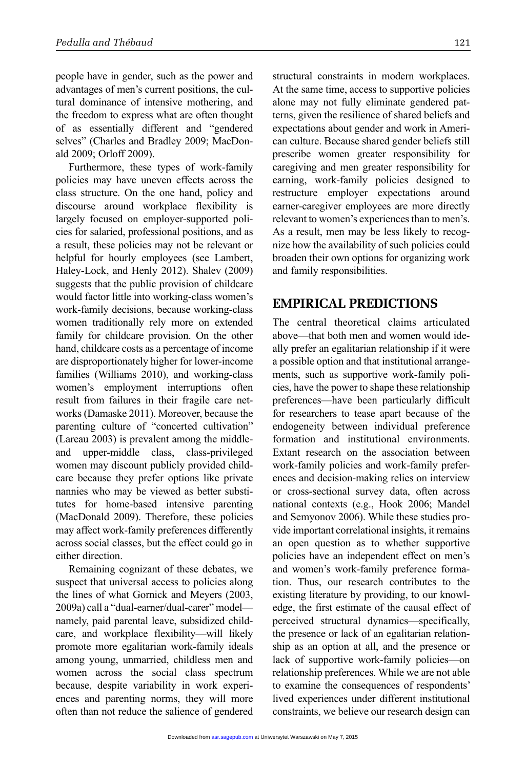people have in gender, such as the power and advantages of men's current positions, the cultural dominance of intensive mothering, and the freedom to express what are often thought of as essentially different and "gendered selves" (Charles and Bradley 2009; MacDonald 2009; Orloff 2009).

Furthermore, these types of work-family policies may have uneven effects across the class structure. On the one hand, policy and discourse around workplace flexibility is largely focused on employer-supported policies for salaried, professional positions, and as a result, these policies may not be relevant or helpful for hourly employees (see Lambert, Haley-Lock, and Henly 2012). Shalev (2009) suggests that the public provision of childcare would factor little into working-class women's work-family decisions, because working-class women traditionally rely more on extended family for childcare provision. On the other hand, childcare costs as a percentage of income are disproportionately higher for lower-income families (Williams 2010), and working-class women's employment interruptions often result from failures in their fragile care networks (Damaske 2011). Moreover, because the parenting culture of "concerted cultivation" (Lareau 2003) is prevalent among the middleand upper-middle class, class-privileged women may discount publicly provided childcare because they prefer options like private nannies who may be viewed as better substitutes for home-based intensive parenting (MacDonald 2009). Therefore, these policies may affect work-family preferences differently across social classes, but the effect could go in either direction.

Remaining cognizant of these debates, we suspect that universal access to policies along the lines of what Gornick and Meyers (2003, 2009a) call a "dual-earner/dual-carer" model namely, paid parental leave, subsidized childcare, and workplace flexibility—will likely promote more egalitarian work-family ideals among young, unmarried, childless men and women across the social class spectrum because, despite variability in work experiences and parenting norms, they will more often than not reduce the salience of gendered structural constraints in modern workplaces. At the same time, access to supportive policies alone may not fully eliminate gendered patterns, given the resilience of shared beliefs and expectations about gender and work in American culture. Because shared gender beliefs still prescribe women greater responsibility for caregiving and men greater responsibility for earning, work-family policies designed to restructure employer expectations around earner-caregiver employees are more directly relevant to women's experiences than to men's. As a result, men may be less likely to recognize how the availability of such policies could broaden their own options for organizing work and family responsibilities.

# **Empirical Predictions**

The central theoretical claims articulated above—that both men and women would ideally prefer an egalitarian relationship if it were a possible option and that institutional arrangements, such as supportive work-family policies, have the power to shape these relationship preferences—have been particularly difficult for researchers to tease apart because of the endogeneity between individual preference formation and institutional environments. Extant research on the association between work-family policies and work-family preferences and decision-making relies on interview or cross-sectional survey data, often across national contexts (e.g., Hook 2006; Mandel and Semyonov 2006). While these studies provide important correlational insights, it remains an open question as to whether supportive policies have an independent effect on men's and women's work-family preference formation. Thus, our research contributes to the existing literature by providing, to our knowledge, the first estimate of the causal effect of perceived structural dynamics—specifically, the presence or lack of an egalitarian relationship as an option at all, and the presence or lack of supportive work-family policies—on relationship preferences. While we are not able to examine the consequences of respondents' lived experiences under different institutional constraints, we believe our research design can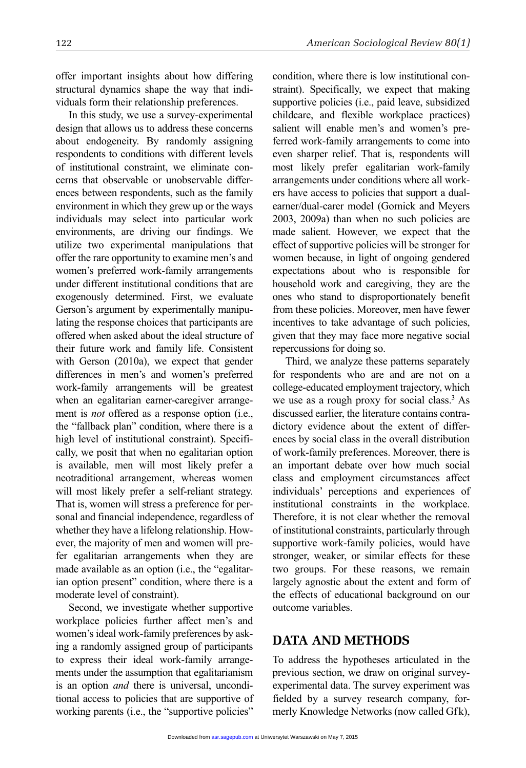offer important insights about how differing structural dynamics shape the way that individuals form their relationship preferences.

In this study, we use a survey-experimental design that allows us to address these concerns about endogeneity. By randomly assigning respondents to conditions with different levels of institutional constraint, we eliminate concerns that observable or unobservable differences between respondents, such as the family environment in which they grew up or the ways individuals may select into particular work environments, are driving our findings. We utilize two experimental manipulations that offer the rare opportunity to examine men's and women's preferred work-family arrangements under different institutional conditions that are exogenously determined. First, we evaluate Gerson's argument by experimentally manipulating the response choices that participants are offered when asked about the ideal structure of their future work and family life. Consistent with Gerson (2010a), we expect that gender differences in men's and women's preferred work-family arrangements will be greatest when an egalitarian earner-caregiver arrangement is *not* offered as a response option (i.e., the "fallback plan" condition, where there is a high level of institutional constraint). Specifically, we posit that when no egalitarian option is available, men will most likely prefer a neotraditional arrangement, whereas women will most likely prefer a self-reliant strategy. That is, women will stress a preference for personal and financial independence, regardless of whether they have a lifelong relationship. However, the majority of men and women will prefer egalitarian arrangements when they are made available as an option (i.e., the "egalitarian option present" condition, where there is a moderate level of constraint).

Second, we investigate whether supportive workplace policies further affect men's and women's ideal work-family preferences by asking a randomly assigned group of participants to express their ideal work-family arrangements under the assumption that egalitarianism is an option *and* there is universal, unconditional access to policies that are supportive of working parents (i.e., the "supportive policies"

condition, where there is low institutional constraint). Specifically, we expect that making supportive policies (i.e., paid leave, subsidized childcare, and flexible workplace practices) salient will enable men's and women's preferred work-family arrangements to come into even sharper relief. That is, respondents will most likely prefer egalitarian work-family arrangements under conditions where all workers have access to policies that support a dualearner/dual-carer model (Gornick and Meyers 2003, 2009a) than when no such policies are made salient. However, we expect that the effect of supportive policies will be stronger for women because, in light of ongoing gendered expectations about who is responsible for household work and caregiving, they are the ones who stand to disproportionately benefit from these policies. Moreover, men have fewer incentives to take advantage of such policies, given that they may face more negative social repercussions for doing so.

Third, we analyze these patterns separately for respondents who are and are not on a college-educated employment trajectory, which we use as a rough proxy for social class.<sup>3</sup> As discussed earlier, the literature contains contradictory evidence about the extent of differences by social class in the overall distribution of work-family preferences. Moreover, there is an important debate over how much social class and employment circumstances affect individuals' perceptions and experiences of institutional constraints in the workplace. Therefore, it is not clear whether the removal of institutional constraints, particularly through supportive work-family policies, would have stronger, weaker, or similar effects for these two groups. For these reasons, we remain largely agnostic about the extent and form of the effects of educational background on our outcome variables.

## **Data and Methods**

To address the hypotheses articulated in the previous section, we draw on original surveyexperimental data. The survey experiment was fielded by a survey research company, formerly Knowledge Networks (now called Gfk),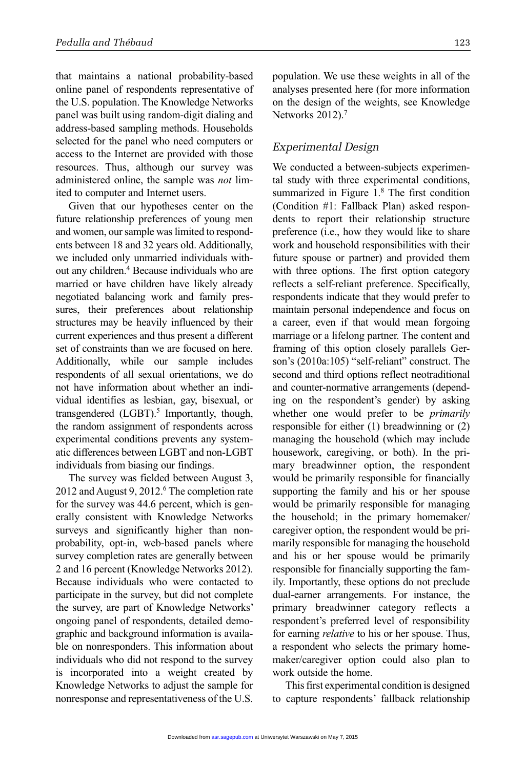that maintains a national probability-based online panel of respondents representative of the U.S. population. The Knowledge Networks panel was built using random-digit dialing and address-based sampling methods. Households selected for the panel who need computers or access to the Internet are provided with those resources. Thus, although our survey was administered online, the sample was *not* limited to computer and Internet users.

Given that our hypotheses center on the future relationship preferences of young men and women, our sample was limited to respondents between 18 and 32 years old. Additionally, we included only unmarried individuals without any children.<sup>4</sup> Because individuals who are married or have children have likely already negotiated balancing work and family pressures, their preferences about relationship structures may be heavily influenced by their current experiences and thus present a different set of constraints than we are focused on here. Additionally, while our sample includes respondents of all sexual orientations, we do not have information about whether an individual identifies as lesbian, gay, bisexual, or transgendered (LGBT).<sup>5</sup> Importantly, though, the random assignment of respondents across experimental conditions prevents any systematic differences between LGBT and non-LGBT individuals from biasing our findings.

The survey was fielded between August 3, 2012 and August 9, 2012.<sup>6</sup> The completion rate for the survey was 44.6 percent, which is generally consistent with Knowledge Networks surveys and significantly higher than nonprobability, opt-in, web-based panels where survey completion rates are generally between 2 and 16 percent (Knowledge Networks 2012). Because individuals who were contacted to participate in the survey, but did not complete the survey, are part of Knowledge Networks' ongoing panel of respondents, detailed demographic and background information is available on nonresponders. This information about individuals who did not respond to the survey is incorporated into a weight created by Knowledge Networks to adjust the sample for nonresponse and representativeness of the U.S.

population. We use these weights in all of the analyses presented here (for more information on the design of the weights, see Knowledge Networks 2012).<sup>7</sup>

## *Experimental Design*

We conducted a between-subjects experimental study with three experimental conditions, summarized in Figure 1.<sup>8</sup> The first condition (Condition #1: Fallback Plan) asked respondents to report their relationship structure preference (i.e., how they would like to share work and household responsibilities with their future spouse or partner) and provided them with three options. The first option category reflects a self-reliant preference. Specifically, respondents indicate that they would prefer to maintain personal independence and focus on a career, even if that would mean forgoing marriage or a lifelong partner. The content and framing of this option closely parallels Gerson's (2010a:105) "self-reliant" construct. The second and third options reflect neotraditional and counter-normative arrangements (depending on the respondent's gender) by asking whether one would prefer to be *primarily* responsible for either (1) breadwinning or (2) managing the household (which may include housework, caregiving, or both). In the primary breadwinner option, the respondent would be primarily responsible for financially supporting the family and his or her spouse would be primarily responsible for managing the household; in the primary homemaker/ caregiver option, the respondent would be primarily responsible for managing the household and his or her spouse would be primarily responsible for financially supporting the family. Importantly, these options do not preclude dual-earner arrangements. For instance, the primary breadwinner category reflects a respondent's preferred level of responsibility for earning *relative* to his or her spouse. Thus, a respondent who selects the primary homemaker/caregiver option could also plan to work outside the home.

This first experimental condition is designed to capture respondents' fallback relationship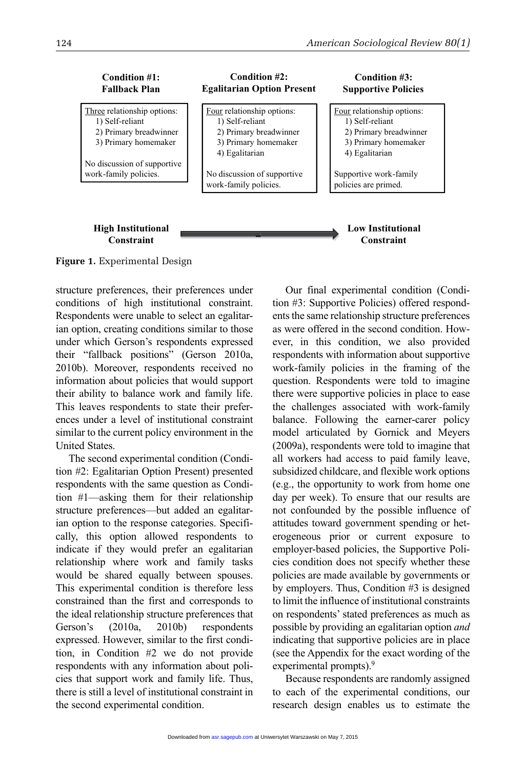**Low Institutional Constraint**

| Condition #1:<br><b>Fallback Plan</b> | Condition #2:<br><b>Egalitarian Option Present</b> | Condition #3:<br><b>Supportive Policies</b> |  |
|---------------------------------------|----------------------------------------------------|---------------------------------------------|--|
| Three relationship options:           | Four relationship options:                         | Four relationship options:                  |  |
| 1) Self-reliant                       | 1) Self-reliant                                    | 1) Self-reliant                             |  |
| 2) Primary breadwinner                | 2) Primary breadwinner                             | 2) Primary breadwinner                      |  |
| 3) Primary homemaker                  | 3) Primary homemaker                               | 3) Primary homemaker                        |  |
|                                       | 4) Egalitarian                                     | 4) Egalitarian                              |  |
| No discussion of supportive           |                                                    |                                             |  |
| work-family policies.                 | No discussion of supportive.                       | Supportive work-family                      |  |
|                                       | work-family policies.                              | policies are primed.                        |  |

#### **High Institutional Constraint**

**Figure 1.** Experimental Design

structure preferences, their preferences under conditions of high institutional constraint. Respondents were unable to select an egalitarian option, creating conditions similar to those under which Gerson's respondents expressed their "fallback positions" (Gerson 2010a, 2010b). Moreover, respondents received no information about policies that would support their ability to balance work and family life. This leaves respondents to state their preferences under a level of institutional constraint similar to the current policy environment in the United States.

The second experimental condition (Condition #2: Egalitarian Option Present) presented respondents with the same question as Condition #1—asking them for their relationship structure preferences—but added an egalitarian option to the response categories. Specifically, this option allowed respondents to indicate if they would prefer an egalitarian relationship where work and family tasks would be shared equally between spouses. This experimental condition is therefore less constrained than the first and corresponds to the ideal relationship structure preferences that Gerson's (2010a, 2010b) respondents expressed. However, similar to the first condition, in Condition #2 we do not provide respondents with any information about policies that support work and family life. Thus, there is still a level of institutional constraint in the second experimental condition.

Our final experimental condition (Condition #3: Supportive Policies) offered respondents the same relationship structure preferences as were offered in the second condition. However, in this condition, we also provided respondents with information about supportive work-family policies in the framing of the question. Respondents were told to imagine there were supportive policies in place to ease the challenges associated with work-family balance. Following the earner-carer policy model articulated by Gornick and Meyers (2009a), respondents were told to imagine that all workers had access to paid family leave, subsidized childcare, and flexible work options (e.g., the opportunity to work from home one day per week). To ensure that our results are not confounded by the possible influence of attitudes toward government spending or heterogeneous prior or current exposure to employer-based policies, the Supportive Policies condition does not specify whether these policies are made available by governments or by employers. Thus, Condition #3 is designed to limit the influence of institutional constraints on respondents' stated preferences as much as possible by providing an egalitarian option *and* indicating that supportive policies are in place (see the Appendix for the exact wording of the experimental prompts).<sup>9</sup>

Because respondents are randomly assigned to each of the experimental conditions, our research design enables us to estimate the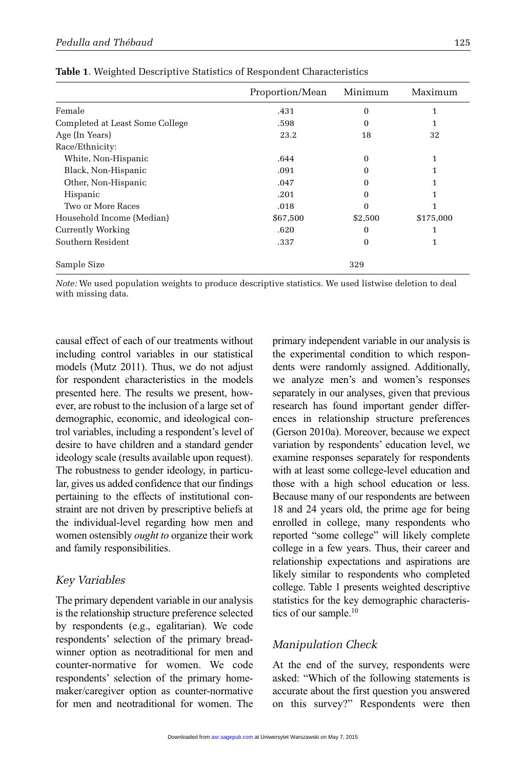|                                 | Proportion/Mean | Minimum  | Maximum   |
|---------------------------------|-----------------|----------|-----------|
| Female                          | .431            | $\bf{0}$ | 1         |
| Completed at Least Some College | .598            | 0        | 1         |
| Age (In Years)                  | 23.2            | 18       | 32        |
| Race/Ethnicity:                 |                 |          |           |
| White, Non-Hispanic             | .644            | $\Omega$ | 1         |
| Black, Non-Hispanic             | .091            | 0        |           |
| Other, Non-Hispanic             | .047            | 0        |           |
| Hispanic                        | .201            | o        | 1         |
| Two or More Races               | .018            | 0        |           |
| Household Income (Median)       | \$67,500        | \$2,500  | \$175,000 |
| <b>Currently Working</b>        | .620            | 0        |           |
| Southern Resident               | .337            | 0        | 1         |
| Sample Size                     |                 | 329      |           |

**Table 1**. Weighted Descriptive Statistics of Respondent Characteristics

*Note:* We used population weights to produce descriptive statistics. We used listwise deletion to deal with missing data.

causal effect of each of our treatments without including control variables in our statistical models (Mutz 2011). Thus, we do not adjust for respondent characteristics in the models presented here. The results we present, however, are robust to the inclusion of a large set of demographic, economic, and ideological control variables, including a respondent's level of desire to have children and a standard gender ideology scale (results available upon request). The robustness to gender ideology, in particular, gives us added confidence that our findings pertaining to the effects of institutional constraint are not driven by prescriptive beliefs at the individual-level regarding how men and women ostensibly *ought to* organize their work and family responsibilities.

#### *Key Variables*

The primary dependent variable in our analysis is the relationship structure preference selected by respondents (e.g., egalitarian). We code respondents' selection of the primary breadwinner option as neotraditional for men and counter-normative for women. We code respondents' selection of the primary homemaker/caregiver option as counter-normative for men and neotraditional for women. The primary independent variable in our analysis is the experimental condition to which respondents were randomly assigned. Additionally, we analyze men's and women's responses separately in our analyses, given that previous research has found important gender differences in relationship structure preferences (Gerson 2010a). Moreover, because we expect variation by respondents' education level, we examine responses separately for respondents with at least some college-level education and those with a high school education or less. Because many of our respondents are between 18 and 24 years old, the prime age for being enrolled in college, many respondents who reported "some college" will likely complete college in a few years. Thus, their career and relationship expectations and aspirations are likely similar to respondents who completed college. Table 1 presents weighted descriptive statistics for the key demographic characteristics of our sample.<sup>10</sup>

# *Manipulation Check*

At the end of the survey, respondents were asked: "Which of the following statements is accurate about the first question you answered on this survey?" Respondents were then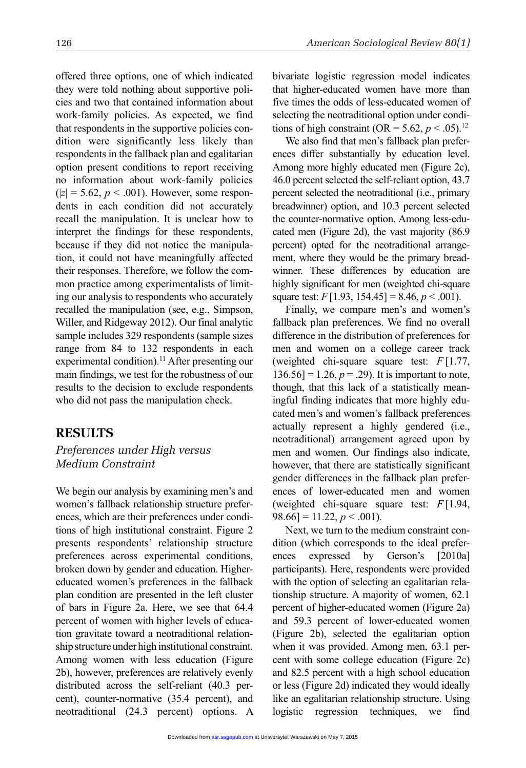offered three options, one of which indicated they were told nothing about supportive policies and two that contained information about work-family policies. As expected, we find that respondents in the supportive policies condition were significantly less likely than respondents in the fallback plan and egalitarian option present conditions to report receiving no information about work-family policies  $(|z| = 5.62, p < .001)$ . However, some respondents in each condition did not accurately recall the manipulation. It is unclear how to interpret the findings for these respondents, because if they did not notice the manipulation, it could not have meaningfully affected their responses. Therefore, we follow the common practice among experimentalists of limiting our analysis to respondents who accurately recalled the manipulation (see, e.g., Simpson, Willer, and Ridgeway 2012). Our final analytic sample includes 329 respondents (sample sizes range from 84 to 132 respondents in each experimental condition).<sup>11</sup> After presenting our main findings, we test for the robustness of our results to the decision to exclude respondents who did not pass the manipulation check.

# **Results**

## *Preferences under High versus Medium Constraint*

We begin our analysis by examining men's and women's fallback relationship structure preferences, which are their preferences under conditions of high institutional constraint. Figure 2 presents respondents' relationship structure preferences across experimental conditions, broken down by gender and education. Highereducated women's preferences in the fallback plan condition are presented in the left cluster of bars in Figure 2a. Here, we see that 64.4 percent of women with higher levels of education gravitate toward a neotraditional relationship structure under high institutional constraint. Among women with less education (Figure 2b), however, preferences are relatively evenly distributed across the self-reliant (40.3 percent), counter-normative (35.4 percent), and neotraditional (24.3 percent) options. A bivariate logistic regression model indicates that higher-educated women have more than five times the odds of less-educated women of selecting the neotraditional option under conditions of high constraint (OR = 5.62,  $p < .05$ ).<sup>12</sup>

We also find that men's fallback plan preferences differ substantially by education level. Among more highly educated men (Figure 2c), 46.0 percent selected the self-reliant option, 43.7 percent selected the neotraditional (i.e., primary breadwinner) option, and 10.3 percent selected the counter-normative option. Among less-educated men (Figure 2d), the vast majority (86.9 percent) opted for the neotraditional arrangement, where they would be the primary breadwinner. These differences by education are highly significant for men (weighted chi-square square test:  $F[1.93, 154.45] = 8.46, p < .001$ .

Finally, we compare men's and women's fallback plan preferences. We find no overall difference in the distribution of preferences for men and women on a college career track (weighted chi-square square test: *F* [1.77,  $136.56$ ] = 1.26,  $p = .29$ ). It is important to note, though, that this lack of a statistically meaningful finding indicates that more highly educated men's and women's fallback preferences actually represent a highly gendered (i.e., neotraditional) arrangement agreed upon by men and women. Our findings also indicate, however, that there are statistically significant gender differences in the fallback plan preferences of lower-educated men and women (weighted chi-square square test: *F* [1.94,  $98.66$ ] = 11.22, *p* < .001).

Next, we turn to the medium constraint condition (which corresponds to the ideal preferences expressed by Gerson's [2010a] participants). Here, respondents were provided with the option of selecting an egalitarian relationship structure. A majority of women, 62.1 percent of higher-educated women (Figure 2a) and 59.3 percent of lower-educated women (Figure 2b), selected the egalitarian option when it was provided. Among men, 63.1 percent with some college education (Figure 2c) and 82.5 percent with a high school education or less (Figure 2d) indicated they would ideally like an egalitarian relationship structure. Using logistic regression techniques, we find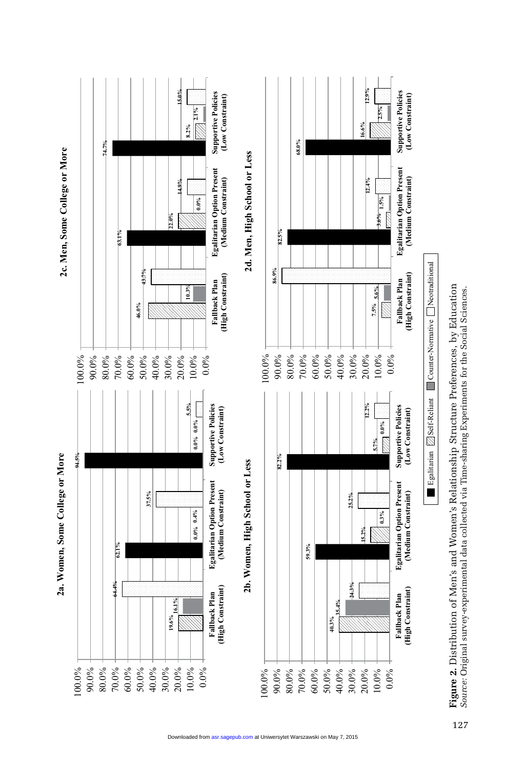

Figure 2. Distribution of Men's and Women's Relationship Structure Preferences, by Education **Figure 2.** Distribution of Men's and Women's Relationship Structure Preferences, by Education Source: Original survey-experimental data collected via Time-sharing Experiments for the Social Sciences. *Source:* Original survey-experimental data collected via Time-sharing Experiments for the Social Sciences.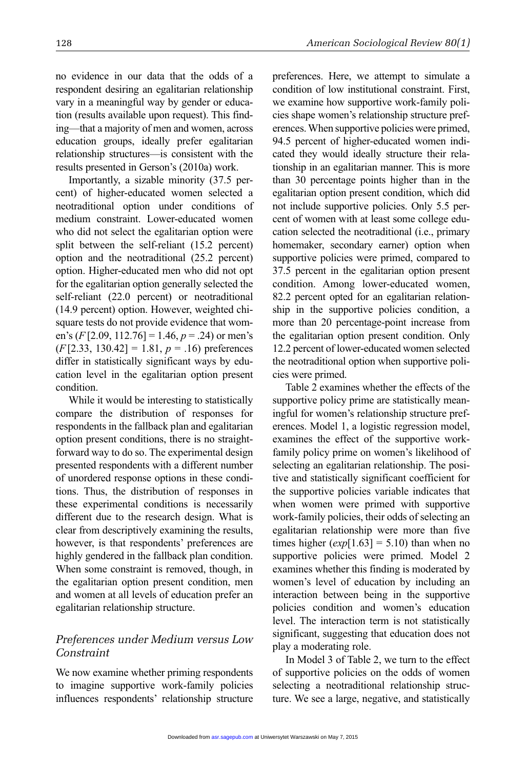no evidence in our data that the odds of a respondent desiring an egalitarian relationship vary in a meaningful way by gender or education (results available upon request). This finding—that a majority of men and women, across education groups, ideally prefer egalitarian relationship structures—is consistent with the results presented in Gerson's (2010a) work.

Importantly, a sizable minority (37.5 percent) of higher-educated women selected a neotraditional option under conditions of medium constraint. Lower-educated women who did not select the egalitarian option were split between the self-reliant (15.2 percent) option and the neotraditional (25.2 percent) option. Higher-educated men who did not opt for the egalitarian option generally selected the self-reliant (22.0 percent) or neotraditional (14.9 percent) option. However, weighted chisquare tests do not provide evidence that women's (*F* [2.09, 112.76] = 1.46, *p* = .24) or men's  $(F[2.33, 130.42] = 1.81, p = .16)$  preferences differ in statistically significant ways by education level in the egalitarian option present condition.

While it would be interesting to statistically compare the distribution of responses for respondents in the fallback plan and egalitarian option present conditions, there is no straightforward way to do so. The experimental design presented respondents with a different number of unordered response options in these conditions. Thus, the distribution of responses in these experimental conditions is necessarily different due to the research design. What is clear from descriptively examining the results, however, is that respondents' preferences are highly gendered in the fallback plan condition. When some constraint is removed, though, in the egalitarian option present condition, men and women at all levels of education prefer an egalitarian relationship structure.

#### *Preferences under Medium versus Low Constraint*

We now examine whether priming respondents to imagine supportive work-family policies influences respondents' relationship structure preferences. Here, we attempt to simulate a condition of low institutional constraint. First, we examine how supportive work-family policies shape women's relationship structure preferences. When supportive policies were primed, 94.5 percent of higher-educated women indicated they would ideally structure their relationship in an egalitarian manner. This is more than 30 percentage points higher than in the egalitarian option present condition, which did not include supportive policies. Only 5.5 percent of women with at least some college education selected the neotraditional (i.e., primary homemaker, secondary earner) option when supportive policies were primed, compared to 37.5 percent in the egalitarian option present condition. Among lower-educated women, 82.2 percent opted for an egalitarian relationship in the supportive policies condition, a more than 20 percentage-point increase from the egalitarian option present condition. Only 12.2 percent of lower-educated women selected the neotraditional option when supportive policies were primed.

Table 2 examines whether the effects of the supportive policy prime are statistically meaningful for women's relationship structure preferences. Model 1, a logistic regression model, examines the effect of the supportive workfamily policy prime on women's likelihood of selecting an egalitarian relationship. The positive and statistically significant coefficient for the supportive policies variable indicates that when women were primed with supportive work-family policies, their odds of selecting an egalitarian relationship were more than five times higher  $(exp[1.63] = 5.10)$  than when no supportive policies were primed. Model 2 examines whether this finding is moderated by women's level of education by including an interaction between being in the supportive policies condition and women's education level. The interaction term is not statistically significant, suggesting that education does not play a moderating role.

In Model 3 of Table 2, we turn to the effect of supportive policies on the odds of women selecting a neotraditional relationship structure. We see a large, negative, and statistically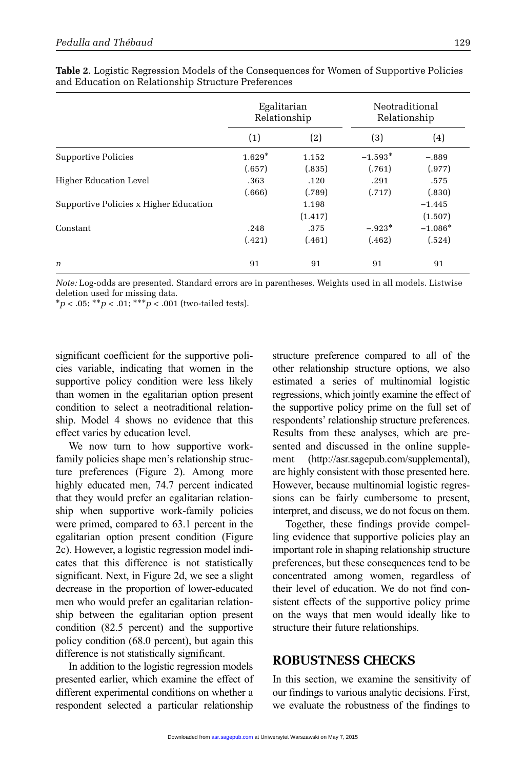|                                        | Egalitarian<br>Relationship |         | Neotraditional<br>Relationship |           |
|----------------------------------------|-----------------------------|---------|--------------------------------|-----------|
|                                        | (1)                         | (2)     | (3)                            | (4)       |
| Supportive Policies                    | $1.629*$                    | 1.152   | $-1.593*$                      | $-.889$   |
|                                        | (.657)                      | (.835)  | (.761)                         | (.977)    |
| <b>Higher Education Level</b>          | .363                        | .120    | .291                           | .575      |
|                                        | (.666)                      | (.789)  | (.717)                         | (.830)    |
| Supportive Policies x Higher Education |                             | 1.198   |                                | $-1.445$  |
|                                        |                             | (1.417) |                                | (1.507)   |
| Constant                               | .248                        | .375    | $-.923*$                       | $-1.086*$ |
|                                        | (.421)                      | (.461)  | (.462)                         | (.524)    |
| n                                      | 91                          | 91      | 91                             | 91        |

|                                                     | Table 2. Logistic Regression Models of the Consequences for Women of Supportive Policies |
|-----------------------------------------------------|------------------------------------------------------------------------------------------|
| and Education on Relationship Structure Preferences |                                                                                          |

*Note:* Log-odds are presented. Standard errors are in parentheses. Weights used in all models. Listwise deletion used for missing data.

\**p* < .05; \*\**p* < .01; \*\*\**p* < .001 (two-tailed tests).

significant coefficient for the supportive policies variable, indicating that women in the supportive policy condition were less likely than women in the egalitarian option present condition to select a neotraditional relationship. Model 4 shows no evidence that this effect varies by education level.

We now turn to how supportive workfamily policies shape men's relationship structure preferences (Figure 2). Among more highly educated men, 74.7 percent indicated that they would prefer an egalitarian relationship when supportive work-family policies were primed, compared to 63.1 percent in the egalitarian option present condition (Figure 2c). However, a logistic regression model indicates that this difference is not statistically significant. Next, in Figure 2d, we see a slight decrease in the proportion of lower-educated men who would prefer an egalitarian relationship between the egalitarian option present condition (82.5 percent) and the supportive policy condition (68.0 percent), but again this difference is not statistically significant.

In addition to the logistic regression models presented earlier, which examine the effect of different experimental conditions on whether a respondent selected a particular relationship structure preference compared to all of the other relationship structure options, we also estimated a series of multinomial logistic regressions, which jointly examine the effect of the supportive policy prime on the full set of respondents' relationship structure preferences. Results from these analyses, which are presented and discussed in the online supplement (http://asr.sagepub.com/supplemental), are highly consistent with those presented here. However, because multinomial logistic regressions can be fairly cumbersome to present, interpret, and discuss, we do not focus on them.

Together, these findings provide compelling evidence that supportive policies play an important role in shaping relationship structure preferences, but these consequences tend to be concentrated among women, regardless of their level of education. We do not find consistent effects of the supportive policy prime on the ways that men would ideally like to structure their future relationships.

# **Robustness Checks**

In this section, we examine the sensitivity of our findings to various analytic decisions. First, we evaluate the robustness of the findings to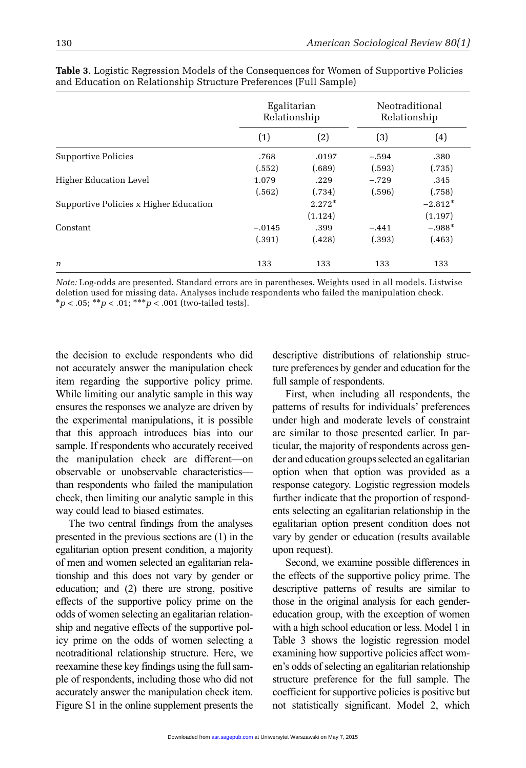|                                        | Egalitarian<br>Relationship |          | Neotraditional<br>Relationship |                   |
|----------------------------------------|-----------------------------|----------|--------------------------------|-------------------|
|                                        | (1)                         | (2)      | (3)                            | $\left( 4\right)$ |
| Supportive Policies                    | .768                        | .0197    | $-.594$                        | .380              |
|                                        | (.552)                      | (.689)   | (.593)                         | (.735)            |
| <b>Higher Education Level</b>          | 1.079                       | .229     | $-.729$                        | .345              |
|                                        | (.562)                      | (.734)   | (.596)                         | (.758)            |
| Supportive Policies x Higher Education |                             | $2.272*$ |                                | $-2.812*$         |
|                                        |                             | (1.124)  |                                | (1.197)           |
| Constant                               | $-.0145$                    | .399     | $-.441$                        | $-.988*$          |
|                                        | (.391)                      | (.428)   | (.393)                         | (.463)            |
| $\boldsymbol{n}$                       | 133                         | 133      | 133                            | 133               |

|                                                                   | Table 3. Logistic Regression Models of the Consequences for Women of Supportive Policies |
|-------------------------------------------------------------------|------------------------------------------------------------------------------------------|
| and Education on Relationship Structure Preferences (Full Sample) |                                                                                          |

*Note:* Log-odds are presented. Standard errors are in parentheses. Weights used in all models. Listwise deletion used for missing data. Analyses include respondents who failed the manipulation check. \**p* < .05; \*\**p* < .01; \*\*\**p* < .001 (two-tailed tests).

the decision to exclude respondents who did not accurately answer the manipulation check item regarding the supportive policy prime. While limiting our analytic sample in this way ensures the responses we analyze are driven by the experimental manipulations, it is possible that this approach introduces bias into our sample. If respondents who accurately received the manipulation check are different—on observable or unobservable characteristics than respondents who failed the manipulation check, then limiting our analytic sample in this way could lead to biased estimates.

The two central findings from the analyses presented in the previous sections are (1) in the egalitarian option present condition, a majority of men and women selected an egalitarian relationship and this does not vary by gender or education; and (2) there are strong, positive effects of the supportive policy prime on the odds of women selecting an egalitarian relationship and negative effects of the supportive policy prime on the odds of women selecting a neotraditional relationship structure. Here, we reexamine these key findings using the full sample of respondents, including those who did not accurately answer the manipulation check item. Figure S1 in the online supplement presents the descriptive distributions of relationship structure preferences by gender and education for the full sample of respondents.

First, when including all respondents, the patterns of results for individuals' preferences under high and moderate levels of constraint are similar to those presented earlier. In particular, the majority of respondents across gender and education groups selected an egalitarian option when that option was provided as a response category. Logistic regression models further indicate that the proportion of respondents selecting an egalitarian relationship in the egalitarian option present condition does not vary by gender or education (results available upon request).

Second, we examine possible differences in the effects of the supportive policy prime. The descriptive patterns of results are similar to those in the original analysis for each gendereducation group, with the exception of women with a high school education or less. Model 1 in Table 3 shows the logistic regression model examining how supportive policies affect women's odds of selecting an egalitarian relationship structure preference for the full sample. The coefficient for supportive policies is positive but not statistically significant. Model 2, which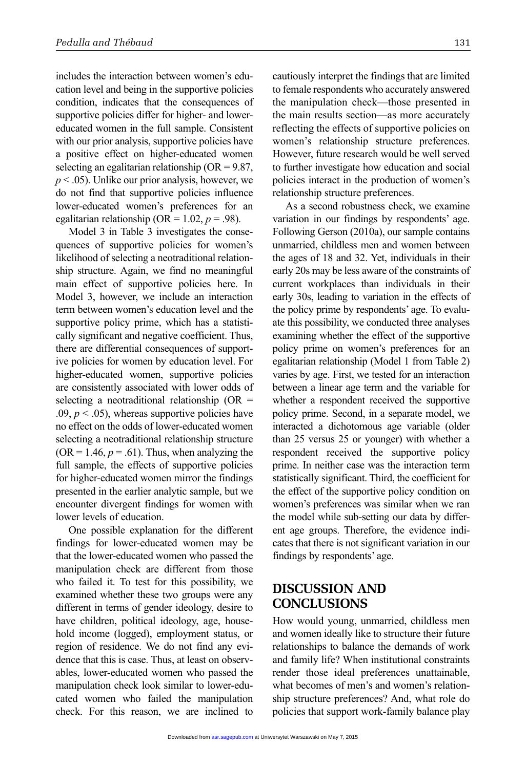includes the interaction between women's education level and being in the supportive policies condition, indicates that the consequences of supportive policies differ for higher- and lowereducated women in the full sample. Consistent with our prior analysis, supportive policies have a positive effect on higher-educated women selecting an egalitarian relationship ( $OR = 9.87$ , *p* < .05). Unlike our prior analysis, however, we do not find that supportive policies influence lower-educated women's preferences for an egalitarian relationship (OR =  $1.02$ ,  $p = .98$ ).

Model 3 in Table 3 investigates the consequences of supportive policies for women's likelihood of selecting a neotraditional relationship structure. Again, we find no meaningful main effect of supportive policies here. In Model 3, however, we include an interaction term between women's education level and the supportive policy prime, which has a statistically significant and negative coefficient. Thus, there are differential consequences of supportive policies for women by education level. For higher-educated women, supportive policies are consistently associated with lower odds of selecting a neotraditional relationship ( $OR =$ .09,  $p < .05$ ), whereas supportive policies have no effect on the odds of lower-educated women selecting a neotraditional relationship structure  $(OR = 1.46, p = .61)$ . Thus, when analyzing the full sample, the effects of supportive policies for higher-educated women mirror the findings presented in the earlier analytic sample, but we encounter divergent findings for women with lower levels of education.

One possible explanation for the different findings for lower-educated women may be that the lower-educated women who passed the manipulation check are different from those who failed it. To test for this possibility, we examined whether these two groups were any different in terms of gender ideology, desire to have children, political ideology, age, household income (logged), employment status, or region of residence. We do not find any evidence that this is case. Thus, at least on observables, lower-educated women who passed the manipulation check look similar to lower-educated women who failed the manipulation check. For this reason, we are inclined to cautiously interpret the findings that are limited to female respondents who accurately answered the manipulation check—those presented in the main results section—as more accurately reflecting the effects of supportive policies on women's relationship structure preferences. However, future research would be well served to further investigate how education and social policies interact in the production of women's relationship structure preferences.

As a second robustness check, we examine variation in our findings by respondents' age. Following Gerson (2010a), our sample contains unmarried, childless men and women between the ages of 18 and 32. Yet, individuals in their early 20s may be less aware of the constraints of current workplaces than individuals in their early 30s, leading to variation in the effects of the policy prime by respondents' age. To evaluate this possibility, we conducted three analyses examining whether the effect of the supportive policy prime on women's preferences for an egalitarian relationship (Model 1 from Table 2) varies by age. First, we tested for an interaction between a linear age term and the variable for whether a respondent received the supportive policy prime. Second, in a separate model, we interacted a dichotomous age variable (older than 25 versus 25 or younger) with whether a respondent received the supportive policy prime. In neither case was the interaction term statistically significant. Third, the coefficient for the effect of the supportive policy condition on women's preferences was similar when we ran the model while sub-setting our data by different age groups. Therefore, the evidence indicates that there is not significant variation in our findings by respondents' age.

# **Discussion and Conclusions**

How would young, unmarried, childless men and women ideally like to structure their future relationships to balance the demands of work and family life? When institutional constraints render those ideal preferences unattainable, what becomes of men's and women's relationship structure preferences? And, what role do policies that support work-family balance play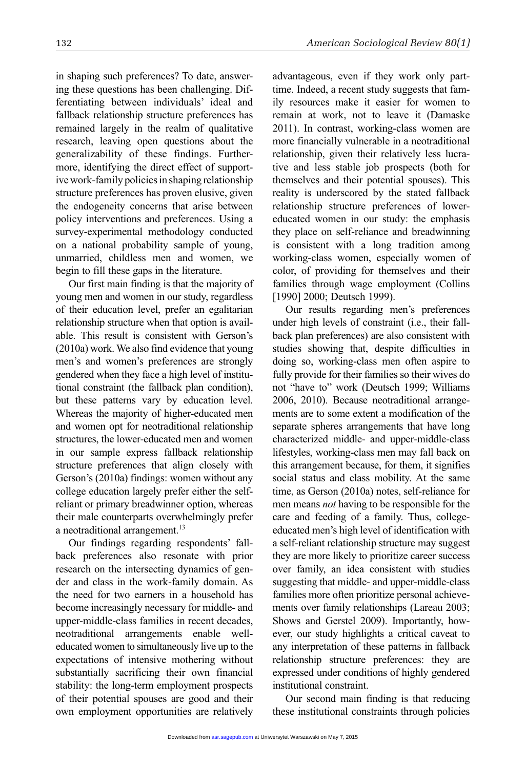in shaping such preferences? To date, answering these questions has been challenging. Differentiating between individuals' ideal and fallback relationship structure preferences has remained largely in the realm of qualitative research, leaving open questions about the generalizability of these findings. Furthermore, identifying the direct effect of supportive work-family policies in shaping relationship structure preferences has proven elusive, given the endogeneity concerns that arise between policy interventions and preferences. Using a survey-experimental methodology conducted on a national probability sample of young, unmarried, childless men and women, we begin to fill these gaps in the literature.

Our first main finding is that the majority of young men and women in our study, regardless of their education level, prefer an egalitarian relationship structure when that option is available. This result is consistent with Gerson's (2010a) work. We also find evidence that young men's and women's preferences are strongly gendered when they face a high level of institutional constraint (the fallback plan condition), but these patterns vary by education level. Whereas the majority of higher-educated men and women opt for neotraditional relationship structures, the lower-educated men and women in our sample express fallback relationship structure preferences that align closely with Gerson's (2010a) findings: women without any college education largely prefer either the selfreliant or primary breadwinner option, whereas their male counterparts overwhelmingly prefer a neotraditional arrangement.<sup>13</sup>

Our findings regarding respondents' fallback preferences also resonate with prior research on the intersecting dynamics of gender and class in the work-family domain. As the need for two earners in a household has become increasingly necessary for middle- and upper-middle-class families in recent decades, neotraditional arrangements enable welleducated women to simultaneously live up to the expectations of intensive mothering without substantially sacrificing their own financial stability: the long-term employment prospects of their potential spouses are good and their own employment opportunities are relatively advantageous, even if they work only parttime. Indeed, a recent study suggests that family resources make it easier for women to remain at work, not to leave it (Damaske 2011). In contrast, working-class women are more financially vulnerable in a neotraditional relationship, given their relatively less lucrative and less stable job prospects (both for themselves and their potential spouses). This reality is underscored by the stated fallback relationship structure preferences of lowereducated women in our study: the emphasis they place on self-reliance and breadwinning is consistent with a long tradition among working-class women, especially women of color, of providing for themselves and their families through wage employment (Collins [1990] 2000; Deutsch 1999).

Our results regarding men's preferences under high levels of constraint (i.e., their fallback plan preferences) are also consistent with studies showing that, despite difficulties in doing so, working-class men often aspire to fully provide for their families so their wives do not "have to" work (Deutsch 1999; Williams 2006, 2010). Because neotraditional arrangements are to some extent a modification of the separate spheres arrangements that have long characterized middle- and upper-middle-class lifestyles, working-class men may fall back on this arrangement because, for them, it signifies social status and class mobility. At the same time, as Gerson (2010a) notes, self-reliance for men means *not* having to be responsible for the care and feeding of a family. Thus, collegeeducated men's high level of identification with a self-reliant relationship structure may suggest they are more likely to prioritize career success over family, an idea consistent with studies suggesting that middle- and upper-middle-class families more often prioritize personal achievements over family relationships (Lareau 2003; Shows and Gerstel 2009). Importantly, however, our study highlights a critical caveat to any interpretation of these patterns in fallback relationship structure preferences: they are expressed under conditions of highly gendered institutional constraint.

Our second main finding is that reducing these institutional constraints through policies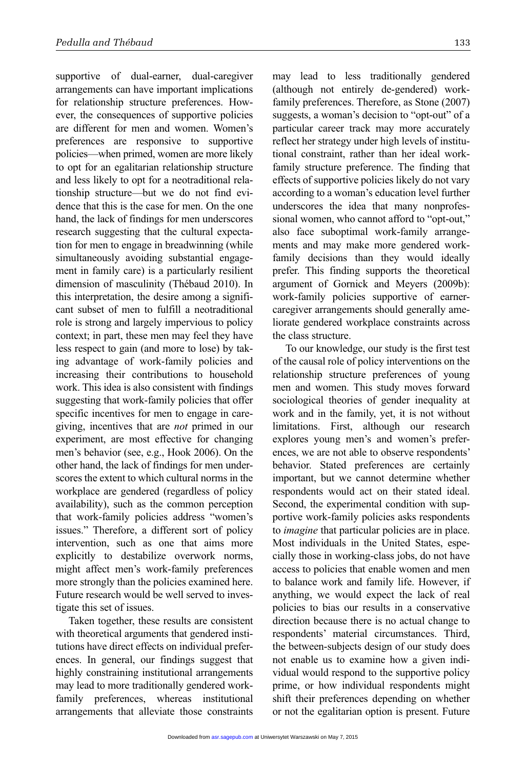supportive of dual-earner, dual-caregiver arrangements can have important implications for relationship structure preferences. However, the consequences of supportive policies are different for men and women. Women's preferences are responsive to supportive policies—when primed, women are more likely to opt for an egalitarian relationship structure and less likely to opt for a neotraditional relationship structure—but we do not find evidence that this is the case for men. On the one hand, the lack of findings for men underscores research suggesting that the cultural expectation for men to engage in breadwinning (while simultaneously avoiding substantial engagement in family care) is a particularly resilient dimension of masculinity (Thébaud 2010). In this interpretation, the desire among a significant subset of men to fulfill a neotraditional role is strong and largely impervious to policy context; in part, these men may feel they have less respect to gain (and more to lose) by taking advantage of work-family policies and increasing their contributions to household work. This idea is also consistent with findings suggesting that work-family policies that offer specific incentives for men to engage in caregiving, incentives that are *not* primed in our experiment, are most effective for changing men's behavior (see, e.g., Hook 2006). On the other hand, the lack of findings for men underscores the extent to which cultural norms in the workplace are gendered (regardless of policy availability), such as the common perception that work-family policies address "women's issues." Therefore, a different sort of policy intervention, such as one that aims more explicitly to destabilize overwork norms, might affect men's work-family preferences more strongly than the policies examined here. Future research would be well served to investigate this set of issues.

Taken together, these results are consistent with theoretical arguments that gendered institutions have direct effects on individual preferences. In general, our findings suggest that highly constraining institutional arrangements may lead to more traditionally gendered workfamily preferences, whereas institutional arrangements that alleviate those constraints may lead to less traditionally gendered (although not entirely de-gendered) workfamily preferences. Therefore, as Stone (2007) suggests, a woman's decision to "opt-out" of a particular career track may more accurately reflect her strategy under high levels of institutional constraint, rather than her ideal workfamily structure preference. The finding that effects of supportive policies likely do not vary according to a woman's education level further underscores the idea that many nonprofessional women, who cannot afford to "opt-out," also face suboptimal work-family arrangements and may make more gendered workfamily decisions than they would ideally prefer. This finding supports the theoretical argument of Gornick and Meyers (2009b): work-family policies supportive of earnercaregiver arrangements should generally ameliorate gendered workplace constraints across the class structure.

To our knowledge, our study is the first test of the causal role of policy interventions on the relationship structure preferences of young men and women. This study moves forward sociological theories of gender inequality at work and in the family, yet, it is not without limitations. First, although our research explores young men's and women's preferences, we are not able to observe respondents' behavior. Stated preferences are certainly important, but we cannot determine whether respondents would act on their stated ideal. Second, the experimental condition with supportive work-family policies asks respondents to *imagine* that particular policies are in place. Most individuals in the United States, especially those in working-class jobs, do not have access to policies that enable women and men to balance work and family life. However, if anything, we would expect the lack of real policies to bias our results in a conservative direction because there is no actual change to respondents' material circumstances. Third, the between-subjects design of our study does not enable us to examine how a given individual would respond to the supportive policy prime, or how individual respondents might shift their preferences depending on whether or not the egalitarian option is present. Future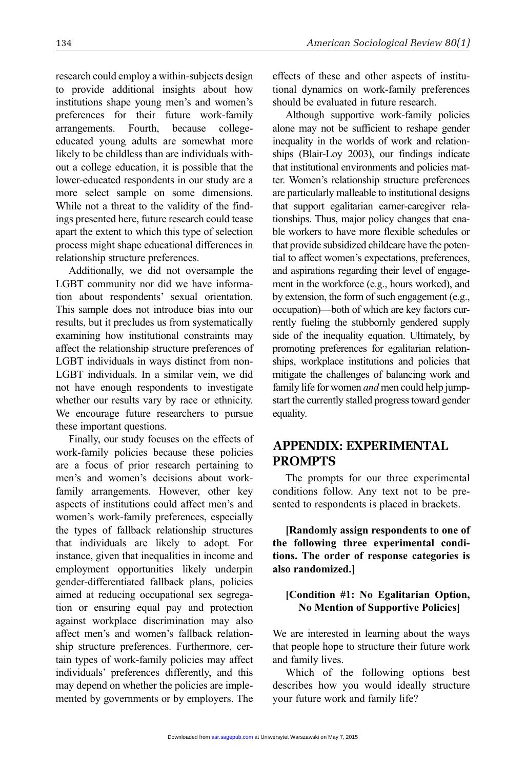research could employ a within-subjects design to provide additional insights about how institutions shape young men's and women's preferences for their future work-family arrangements. Fourth, because collegeeducated young adults are somewhat more likely to be childless than are individuals without a college education, it is possible that the lower-educated respondents in our study are a more select sample on some dimensions. While not a threat to the validity of the findings presented here, future research could tease apart the extent to which this type of selection process might shape educational differences in relationship structure preferences.

Additionally, we did not oversample the LGBT community nor did we have information about respondents' sexual orientation. This sample does not introduce bias into our results, but it precludes us from systematically examining how institutional constraints may affect the relationship structure preferences of LGBT individuals in ways distinct from non-LGBT individuals. In a similar vein, we did not have enough respondents to investigate whether our results vary by race or ethnicity. We encourage future researchers to pursue these important questions.

Finally, our study focuses on the effects of work-family policies because these policies are a focus of prior research pertaining to men's and women's decisions about workfamily arrangements. However, other key aspects of institutions could affect men's and women's work-family preferences, especially the types of fallback relationship structures that individuals are likely to adopt. For instance, given that inequalities in income and employment opportunities likely underpin gender-differentiated fallback plans, policies aimed at reducing occupational sex segregation or ensuring equal pay and protection against workplace discrimination may also affect men's and women's fallback relationship structure preferences. Furthermore, certain types of work-family policies may affect individuals' preferences differently, and this may depend on whether the policies are implemented by governments or by employers. The effects of these and other aspects of institutional dynamics on work-family preferences should be evaluated in future research.

Although supportive work-family policies alone may not be sufficient to reshape gender inequality in the worlds of work and relationships (Blair-Loy 2003), our findings indicate that institutional environments and policies matter. Women's relationship structure preferences are particularly malleable to institutional designs that support egalitarian earner-caregiver relationships. Thus, major policy changes that enable workers to have more flexible schedules or that provide subsidized childcare have the potential to affect women's expectations, preferences, and aspirations regarding their level of engagement in the workforce (e.g., hours worked), and by extension, the form of such engagement (e.g., occupation)—both of which are key factors currently fueling the stubbornly gendered supply side of the inequality equation. Ultimately, by promoting preferences for egalitarian relationships, workplace institutions and policies that mitigate the challenges of balancing work and family life for women *and* men could help jumpstart the currently stalled progress toward gender equality.

# **APPENDIX: Experimental Prompts**

The prompts for our three experimental conditions follow. Any text not to be presented to respondents is placed in brackets.

**[Randomly assign respondents to one of the following three experimental conditions. The order of response categories is also randomized.]**

#### **[Condition #1: No Egalitarian Option, No Mention of Supportive Policies]**

We are interested in learning about the ways that people hope to structure their future work and family lives.

Which of the following options best describes how you would ideally structure your future work and family life?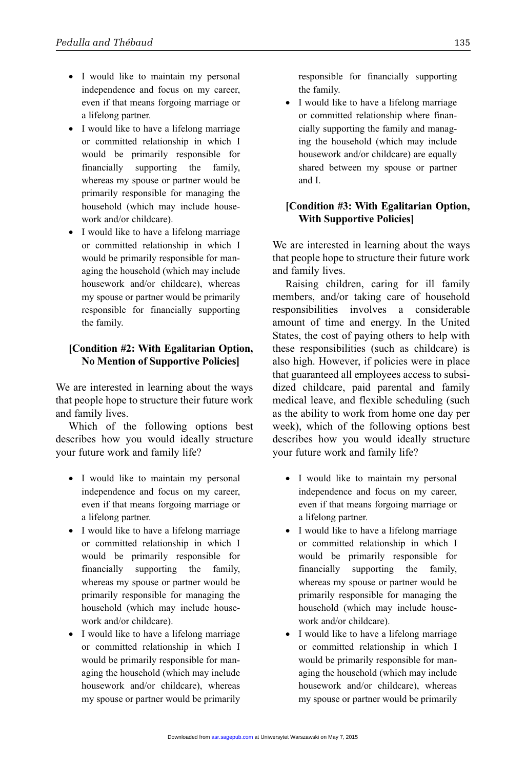- I would like to maintain my personal independence and focus on my career, even if that means forgoing marriage or a lifelong partner.
- I would like to have a lifelong marriage or committed relationship in which I would be primarily responsible for financially supporting the family, whereas my spouse or partner would be primarily responsible for managing the household (which may include housework and/or childcare).
- I would like to have a lifelong marriage or committed relationship in which I would be primarily responsible for managing the household (which may include housework and/or childcare), whereas my spouse or partner would be primarily responsible for financially supporting the family.

## **[Condition #2: With Egalitarian Option, No Mention of Supportive Policies]**

We are interested in learning about the ways that people hope to structure their future work and family lives.

Which of the following options best describes how you would ideally structure your future work and family life?

- I would like to maintain my personal independence and focus on my career, even if that means forgoing marriage or a lifelong partner.
- I would like to have a lifelong marriage or committed relationship in which I would be primarily responsible for financially supporting the family, whereas my spouse or partner would be primarily responsible for managing the household (which may include housework and/or childcare).
- I would like to have a lifelong marriage or committed relationship in which I would be primarily responsible for managing the household (which may include housework and/or childcare), whereas my spouse or partner would be primarily

responsible for financially supporting the family.

• I would like to have a lifelong marriage or committed relationship where financially supporting the family and managing the household (which may include housework and/or childcare) are equally shared between my spouse or partner and I.

## **[Condition #3: With Egalitarian Option, With Supportive Policies]**

We are interested in learning about the ways that people hope to structure their future work and family lives.

Raising children, caring for ill family members, and/or taking care of household responsibilities involves a considerable amount of time and energy. In the United States, the cost of paying others to help with these responsibilities (such as childcare) is also high. However, if policies were in place that guaranteed all employees access to subsidized childcare, paid parental and family medical leave, and flexible scheduling (such as the ability to work from home one day per week), which of the following options best describes how you would ideally structure your future work and family life?

- I would like to maintain my personal independence and focus on my career, even if that means forgoing marriage or a lifelong partner.
- I would like to have a lifelong marriage or committed relationship in which I would be primarily responsible for financially supporting the family, whereas my spouse or partner would be primarily responsible for managing the household (which may include housework and/or childcare).
- I would like to have a lifelong marriage or committed relationship in which I would be primarily responsible for managing the household (which may include housework and/or childcare), whereas my spouse or partner would be primarily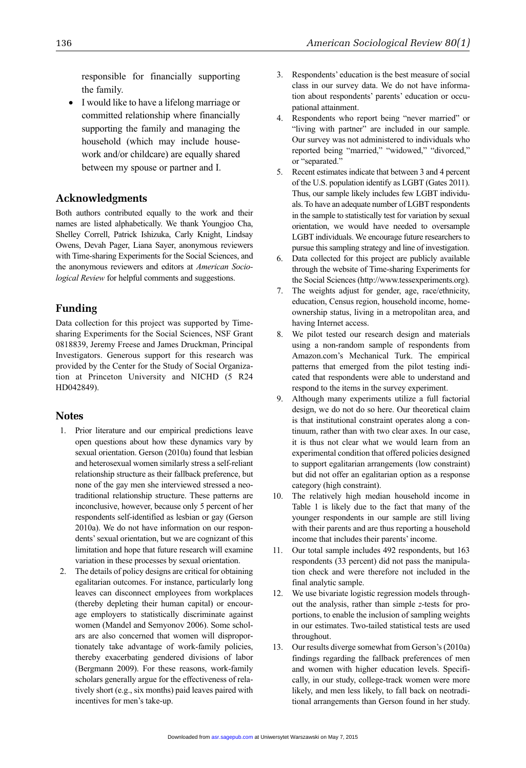responsible for financially supporting the family.

• I would like to have a lifelong marriage or committed relationship where financially supporting the family and managing the household (which may include housework and/or childcare) are equally shared between my spouse or partner and I.

#### **Acknowledgments**

Both authors contributed equally to the work and their names are listed alphabetically. We thank Youngjoo Cha, Shelley Correll, Patrick Ishizuka, Carly Knight, Lindsay Owens, Devah Pager, Liana Sayer, anonymous reviewers with Time-sharing Experiments for the Social Sciences, and the anonymous reviewers and editors at *American Sociological Review* for helpful comments and suggestions.

#### **Funding**

Data collection for this project was supported by Timesharing Experiments for the Social Sciences, NSF Grant 0818839, Jeremy Freese and James Druckman, Principal Investigators. Generous support for this research was provided by the Center for the Study of Social Organization at Princeton University and NICHD (5 R24 HD042849).

#### **Notes**

- 1. Prior literature and our empirical predictions leave open questions about how these dynamics vary by sexual orientation. Gerson (2010a) found that lesbian and heterosexual women similarly stress a self-reliant relationship structure as their fallback preference, but none of the gay men she interviewed stressed a neotraditional relationship structure. These patterns are inconclusive, however, because only 5 percent of her respondents self-identified as lesbian or gay (Gerson 2010a). We do not have information on our respondents' sexual orientation, but we are cognizant of this limitation and hope that future research will examine variation in these processes by sexual orientation.
- 2. The details of policy designs are critical for obtaining egalitarian outcomes. For instance, particularly long leaves can disconnect employees from workplaces (thereby depleting their human capital) or encourage employers to statistically discriminate against women (Mandel and Semyonov 2006). Some scholars are also concerned that women will disproportionately take advantage of work-family policies, thereby exacerbating gendered divisions of labor (Bergmann 2009). For these reasons, work-family scholars generally argue for the effectiveness of relatively short (e.g., six months) paid leaves paired with incentives for men's take-up.
- 3. Respondents' education is the best measure of social class in our survey data. We do not have information about respondents' parents' education or occupational attainment.
- 4. Respondents who report being "never married" or "living with partner" are included in our sample. Our survey was not administered to individuals who reported being "married," "widowed," "divorced," or "separated."
- 5. Recent estimates indicate that between 3 and 4 percent of the U.S. population identify as LGBT (Gates 2011). Thus, our sample likely includes few LGBT individuals. To have an adequate number of LGBT respondents in the sample to statistically test for variation by sexual orientation, we would have needed to oversample LGBT individuals. We encourage future researchers to pursue this sampling strategy and line of investigation.
- 6. Data collected for this project are publicly available through the website of Time-sharing Experiments for the Social Sciences (http://www.tessexperiments.org).
- 7. The weights adjust for gender, age, race/ethnicity, education, Census region, household income, homeownership status, living in a metropolitan area, and having Internet access.
- 8. We pilot tested our research design and materials using a non-random sample of respondents from Amazon.com's Mechanical Turk. The empirical patterns that emerged from the pilot testing indicated that respondents were able to understand and respond to the items in the survey experiment.
- 9. Although many experiments utilize a full factorial design, we do not do so here. Our theoretical claim is that institutional constraint operates along a continuum, rather than with two clear axes. In our case, it is thus not clear what we would learn from an experimental condition that offered policies designed to support egalitarian arrangements (low constraint) but did not offer an egalitarian option as a response category (high constraint).
- 10. The relatively high median household income in Table 1 is likely due to the fact that many of the younger respondents in our sample are still living with their parents and are thus reporting a household income that includes their parents' income.
- 11. Our total sample includes 492 respondents, but 163 respondents (33 percent) did not pass the manipulation check and were therefore not included in the final analytic sample.
- 12. We use bivariate logistic regression models throughout the analysis, rather than simple *z*-tests for proportions, to enable the inclusion of sampling weights in our estimates. Two-tailed statistical tests are used throughout.
- 13. Our results diverge somewhat from Gerson's (2010a) findings regarding the fallback preferences of men and women with higher education levels. Specifically, in our study, college-track women were more likely, and men less likely, to fall back on neotraditional arrangements than Gerson found in her study.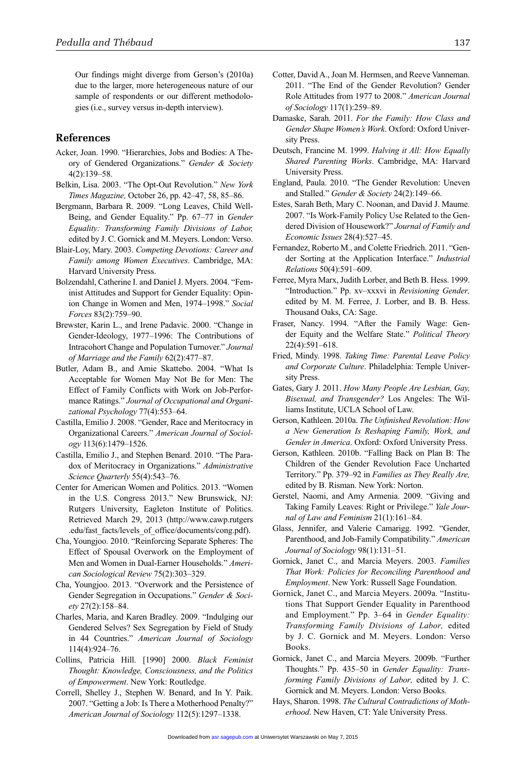Our findings might diverge from Gerson's (2010a) due to the larger, more heterogeneous nature of our sample of respondents or our different methodologies (i.e., survey versus in-depth interview).

#### **References**

- Acker, Joan. 1990. "Hierarchies, Jobs and Bodies: A Theory of Gendered Organizations." *Gender & Society* 4(2):139–58.
- Belkin, Lisa. 2003. "The Opt-Out Revolution." *New York Times Magazine,* October 26, pp. 42–47, 58, 85–86.
- Bergmann, Barbara R. 2009. "Long Leaves, Child Well-Being, and Gender Equality." Pp. 67–77 in *Gender Equality: Transforming Family Divisions of Labor,*  edited by J. C. Gornick and M. Meyers. London: Verso.
- Blair-Loy, Mary. 2003. *Competing Devotions: Career and Family among Women Executives*. Cambridge, MA: Harvard University Press.
- Bolzendahl, Catherine I. and Daniel J. Myers. 2004. "Feminist Attitudes and Support for Gender Equality: Opinion Change in Women and Men, 1974–1998." *Social Forces* 83(2):759–90.
- Brewster, Karin L., and Irene Padavic. 2000. "Change in Gender-Ideology, 1977–1996: The Contributions of Intracohort Change and Population Turnover." *Journal of Marriage and the Family* 62(2):477–87.
- Butler, Adam B., and Amie Skattebo. 2004. "What Is Acceptable for Women May Not Be for Men: The Effect of Family Conflicts with Work on Job-Performance Ratings." *Journal of Occupational and Organizational Psychology* 77(4):553–64.
- Castilla, Emilio J. 2008. "Gender, Race and Meritocracy in Organizational Careers." *American Journal of Sociology* 113(6):1479–1526.
- Castilla, Emilio J., and Stephen Benard. 2010. "The Paradox of Meritocracy in Organizations." *Administrative Science Quarterly* 55(4):543–76.
- Center for American Women and Politics. 2013. "Women in the U.S. Congress 2013." New Brunswick, NJ: Rutgers University, Eagleton Institute of Politics. Retrieved March 29, 2013 (http://www.cawp.rutgers .edu/fast facts/levels of office/documents/cong.pdf).
- Cha, Youngjoo. 2010. "Reinforcing Separate Spheres: The Effect of Spousal Overwork on the Employment of Men and Women in Dual-Earner Households." *American Sociological Review* 75(2):303–329.
- Cha, Youngjoo. 2013. "Overwork and the Persistence of Gender Segregation in Occupations." *Gender & Society* 27(2):158–84.
- Charles, Maria, and Karen Bradley. 2009. "Indulging our Gendered Selves? Sex Segregation by Field of Study in 44 Countries." *American Journal of Sociology* 114(4):924–76.
- Collins, Patricia Hill. [1990] 2000. *Black Feminist Thought: Knowledge, Consciousness, and the Politics of Empowerment*. New York: Routledge.
- Correll, Shelley J., Stephen W. Benard, and In Y. Paik. 2007. "Getting a Job: Is There a Motherhood Penalty?" *American Journal of Sociology* 112(5):1297–1338.
- Cotter, David A., Joan M. Hermsen, and Reeve Vanneman. 2011. "The End of the Gender Revolution? Gender Role Attitudes from 1977 to 2008." *American Journal of Sociology* 117(1):259–89.
- Damaske, Sarah. 2011. *For the Family: How Class and Gender Shape Women's Work*. Oxford: Oxford University Press.
- Deutsch, Francine M. 1999. *Halving it All: How Equally Shared Parenting Works*. Cambridge, MA: Harvard University Press.
- England, Paula. 2010. "The Gender Revolution: Uneven and Stalled." *Gender & Society* 24(2):149–66.
- Estes, Sarah Beth, Mary C. Noonan, and David J. Maume. 2007. "Is Work-Family Policy Use Related to the Gendered Division of Housework?" *Journal of Family and Economic Issues* 28(4):527–45.
- Fernandez, Roberto M., and Colette Friedrich. 2011. "Gender Sorting at the Application Interface." *Industrial Relations* 50(4):591–609.
- Ferree, Myra Marx, Judith Lorber, and Beth B. Hess. 1999. "Introduction." Pp. xv–xxxvi in *Revisioning Gender,* edited by M. M. Ferree, J. Lorber, and B. B. Hess. Thousand Oaks, CA: Sage.
- Fraser, Nancy. 1994. "After the Family Wage: Gender Equity and the Welfare State." *Political Theory* 22(4):591–618.
- Fried, Mindy. 1998. *Taking Time: Parental Leave Policy and Corporate Culture*. Philadelphia: Temple University Press.
- Gates, Gary J. 2011. *How Many People Are Lesbian, Gay, Bisexual, and Transgender?* Los Angeles: The Williams Institute, UCLA School of Law.
- Gerson, Kathleen. 2010a. *The Unfinished Revolution: How a New Generation Is Reshaping Family, Work, and Gender in America*. Oxford: Oxford University Press.
- Gerson, Kathleen. 2010b. "Falling Back on Plan B: The Children of the Gender Revolution Face Uncharted Territory." Pp. 379–92 in *Families as They Really Are,* edited by B. Risman. New York: Norton.
- Gerstel, Naomi, and Amy Armenia. 2009. "Giving and Taking Family Leaves: Right or Privilege." *Yale Journal of Law and Feminism* 21(1):161–84.
- Glass, Jennifer, and Valerie Camarigg. 1992. "Gender, Parenthood, and Job-Family Compatibility." *American Journal of Sociology* 98(1):131–51.
- Gornick, Janet C., and Marcia Meyers. 2003. *Families That Work: Policies for Reconciling Parenthood and Employment*. New York: Russell Sage Foundation.
- Gornick, Janet C., and Marcia Meyers. 2009a. "Institutions That Support Gender Equality in Parenthood and Employment." Pp. 3–64 in *Gender Equality: Transforming Family Divisions of Labor,* edited by J. C. Gornick and M. Meyers. London: Verso Books.
- Gornick, Janet C., and Marcia Meyers. 2009b. "Further Thoughts." Pp. 435–50 in *Gender Equality: Transforming Family Divisions of Labor,* edited by J. C. Gornick and M. Meyers. London: Verso Books.
- Hays, Sharon. 1998. *The Cultural Contradictions of Motherhood*. New Haven, CT: Yale University Press.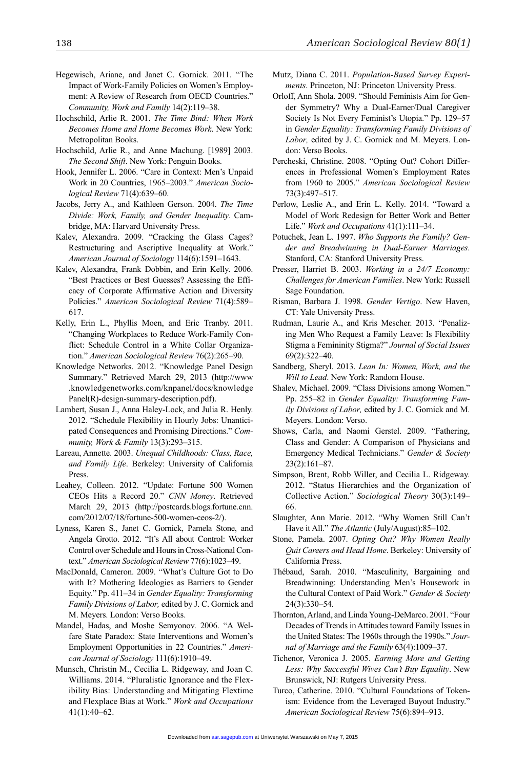- Hegewisch, Ariane, and Janet C. Gornick. 2011. "The Impact of Work-Family Policies on Women's Employment: A Review of Research from OECD Countries." *Community, Work and Family* 14(2):119–38.
- Hochschild, Arlie R. 2001. *The Time Bind: When Work Becomes Home and Home Becomes Work*. New York: Metropolitan Books.
- Hochschild, Arlie R., and Anne Machung. [1989] 2003. *The Second Shift*. New York: Penguin Books.
- Hook, Jennifer L. 2006. "Care in Context: Men's Unpaid Work in 20 Countries, 1965–2003." *American Sociological Review* 71(4):639–60.
- Jacobs, Jerry A., and Kathleen Gerson. 2004. *The Time Divide: Work, Family, and Gender Inequality*. Cambridge, MA: Harvard University Press.
- Kalev, Alexandra. 2009. "Cracking the Glass Cages? Restructuring and Ascriptive Inequality at Work." *American Journal of Sociology* 114(6):1591–1643.
- Kalev, Alexandra, Frank Dobbin, and Erin Kelly. 2006. "Best Practices or Best Guesses? Assessing the Efficacy of Corporate Affirmative Action and Diversity Policies." *American Sociological Review* 71(4):589– 617.
- Kelly, Erin L., Phyllis Moen, and Eric Tranby. 2011. "Changing Workplaces to Reduce Work-Family Conflict: Schedule Control in a White Collar Organization." *American Sociological Review* 76(2):265–90.
- Knowledge Networks. 2012. "Knowledge Panel Design [Summary." Retrieved March 29, 2013 \(http://www](http://www.knowledgenetworks.com/knpanel/docs/knowledgePanel(R)-design-summary-description.pdf) .knowledgenetworks.com/knpanel/docs/knowledge Panel(R)-design-summary-description.pdf).
- Lambert, Susan J., Anna Haley-Lock, and Julia R. Henly. 2012. "Schedule Flexibility in Hourly Jobs: Unanticipated Consequences and Promising Directions." *Community, Work & Family* 13(3):293–315.
- Lareau, Annette. 2003. *Unequal Childhoods: Class, Race, and Family Life*. Berkeley: University of California Press.
- Leahey, Colleen. 2012. "Update: Fortune 500 Women CEOs Hits a Record 20." *CNN Money*. Retrieved March 29, 2013 (http://postcards.blogs.fortune.cnn. com/2012/07/18/fortune-500-women-ceos-2/).
- Lyness, Karen S., Janet C. Gornick, Pamela Stone, and Angela Grotto. 2012. "It's All about Control: Worker Control over Schedule and Hours in Cross-National Context." *American Sociological Review* 77(6):1023–49.
- MacDonald, Cameron. 2009. "What's Culture Got to Do with It? Mothering Ideologies as Barriers to Gender Equity." Pp. 411–34 in *Gender Equality: Transforming Family Divisions of Labor,* edited by J. C. Gornick and M. Meyers. London: Verso Books.
- Mandel, Hadas, and Moshe Semyonov. 2006. "A Welfare State Paradox: State Interventions and Women's Employment Opportunities in 22 Countries." *American Journal of Sociology* 111(6):1910–49.
- Munsch, Christin M., Cecilia L. Ridgeway, and Joan C. Williams. 2014. "Pluralistic Ignorance and the Flexibility Bias: Understanding and Mitigating Flextime and Flexplace Bias at Work." *Work and Occupations* 41(1):40–62.
- Mutz, Diana C. 2011. *Population-Based Survey Experiments*. Princeton, NJ: Princeton University Press.
- Orloff, Ann Shola. 2009. "Should Feminists Aim for Gender Symmetry? Why a Dual-Earner/Dual Caregiver Society Is Not Every Feminist's Utopia." Pp. 129–57 in *Gender Equality: Transforming Family Divisions of Labor,* edited by J. C. Gornick and M. Meyers. London: Verso Books.
- Percheski, Christine. 2008. "Opting Out? Cohort Differences in Professional Women's Employment Rates from 1960 to 2005." *American Sociological Review* 73(3):497–517.
- Perlow, Leslie A., and Erin L. Kelly. 2014. "Toward a Model of Work Redesign for Better Work and Better Life." *Work and Occupations* 41(1):111–34.
- Potuchek, Jean L. 1997. *Who Supports the Family? Gender and Breadwinning in Dual-Earner Marriages*. Stanford, CA: Stanford University Press.
- Presser, Harriet B. 2003. *Working in a 24/7 Economy: Challenges for American Families*. New York: Russell Sage Foundation.
- Risman, Barbara J. 1998. *Gender Vertigo*. New Haven, CT: Yale University Press.
- Rudman, Laurie A., and Kris Mescher. 2013. "Penalizing Men Who Request a Family Leave: Is Flexibility Stigma a Femininity Stigma?" *Journal of Social Issues* 69(2):322–40.
- Sandberg, Sheryl. 2013. *Lean In: Women, Work, and the Will to Lead*. New York: Random House.
- Shalev, Michael. 2009. "Class Divisions among Women." Pp. 255–82 in *Gender Equality: Transforming Family Divisions of Labor,* edited by J. C. Gornick and M. Meyers. London: Verso.
- Shows, Carla, and Naomi Gerstel. 2009. "Fathering, Class and Gender: A Comparison of Physicians and Emergency Medical Technicians." *Gender & Society* 23(2):161–87.
- Simpson, Brent, Robb Willer, and Cecilia L. Ridgeway. 2012. "Status Hierarchies and the Organization of Collective Action." *Sociological Theory* 30(3):149– 66.
- Slaughter, Ann Marie. 2012. "Why Women Still Can't Have it All." *The Atlantic* (July/August):85–102.
- Stone, Pamela. 2007. *Opting Out? Why Women Really Quit Careers and Head Home*. Berkeley: University of California Press.
- Thébaud, Sarah. 2010. "Masculinity, Bargaining and Breadwinning: Understanding Men's Housework in the Cultural Context of Paid Work." *Gender & Society* 24(3):330–54.
- Thornton, Arland, and Linda Young-DeMarco. 2001. "Four Decades of Trends in Attitudes toward Family Issues in the United States: The 1960s through the 1990s." *Journal of Marriage and the Family* 63(4):1009–37.
- Tichenor, Veronica J. 2005. *Earning More and Getting Less: Why Successful Wives Can't Buy Equality*. New Brunswick, NJ: Rutgers University Press.
- Turco, Catherine. 2010. "Cultural Foundations of Tokenism: Evidence from the Leveraged Buyout Industry." *American Sociological Review* 75(6):894–913.